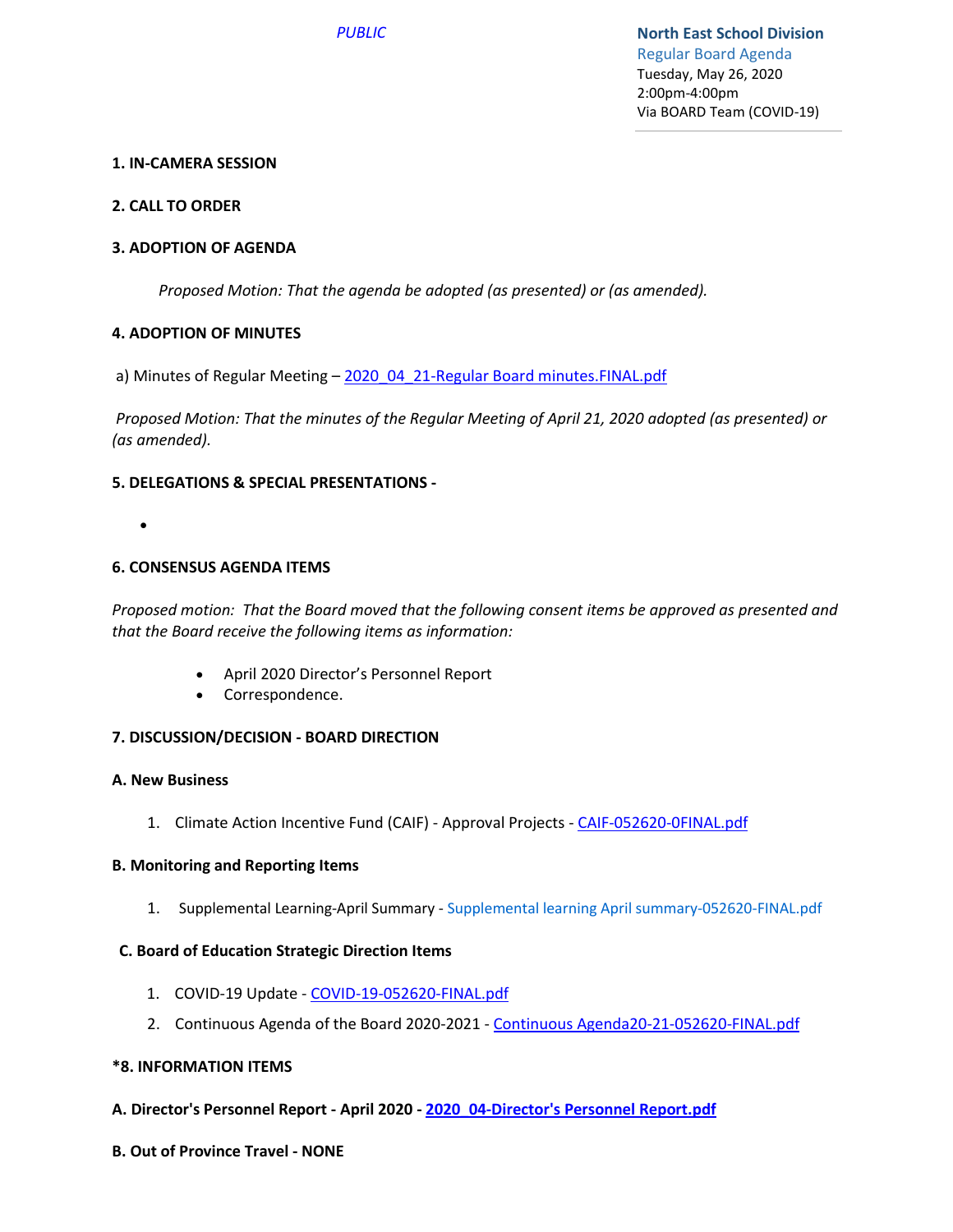## **1. IN-CAMERA SESSION**

## **2. CALL TO ORDER**

## **3. ADOPTION OF AGENDA**

*Proposed Motion: That the agenda be adopted (as presented) or (as amended).*

#### **4. ADOPTION OF MINUTES**

a) Minutes of Regular Meeting - 2020\_04\_21-Regular Board minutes.FINAL.pdf

*Proposed Motion: That the minutes of the Regular Meeting of April 21, 2020 adopted (as presented) or (as amended).*

#### **5. DELEGATIONS & SPECIAL PRESENTATIONS -**

•

#### **6. CONSENSUS AGENDA ITEMS**

*Proposed motion: That the Board moved that the following consent items be approved as presented and that the Board receive the following items as information:*

- April 2020 Director's Personnel Report
- Correspondence.

#### **7. DISCUSSION/DECISION - BOARD DIRECTION**

#### **A. New Business**

1. Climate Action Incentive Fund (CAIF) - Approval Projects - CAIF-052620-0FINAL.pdf

#### **B. Monitoring and Reporting Items**

1. Supplemental Learning-April Summary - Supplemental learning April summary-052620-FINAL.pdf

#### **C. Board of Education Strategic Direction Items**

- 1. COVID-19 Update COVID-19-052620-FINAL.pdf
- 2. Continuous Agenda of the Board 2020-2021 Continuous Agenda20-21-052620-FINAL.pdf

#### **\*8. INFORMATION ITEMS**

- **A. Director's Personnel Report April 2020 2020\_04-Director's Personnel Report.pdf**
- **B. Out of Province Travel NONE**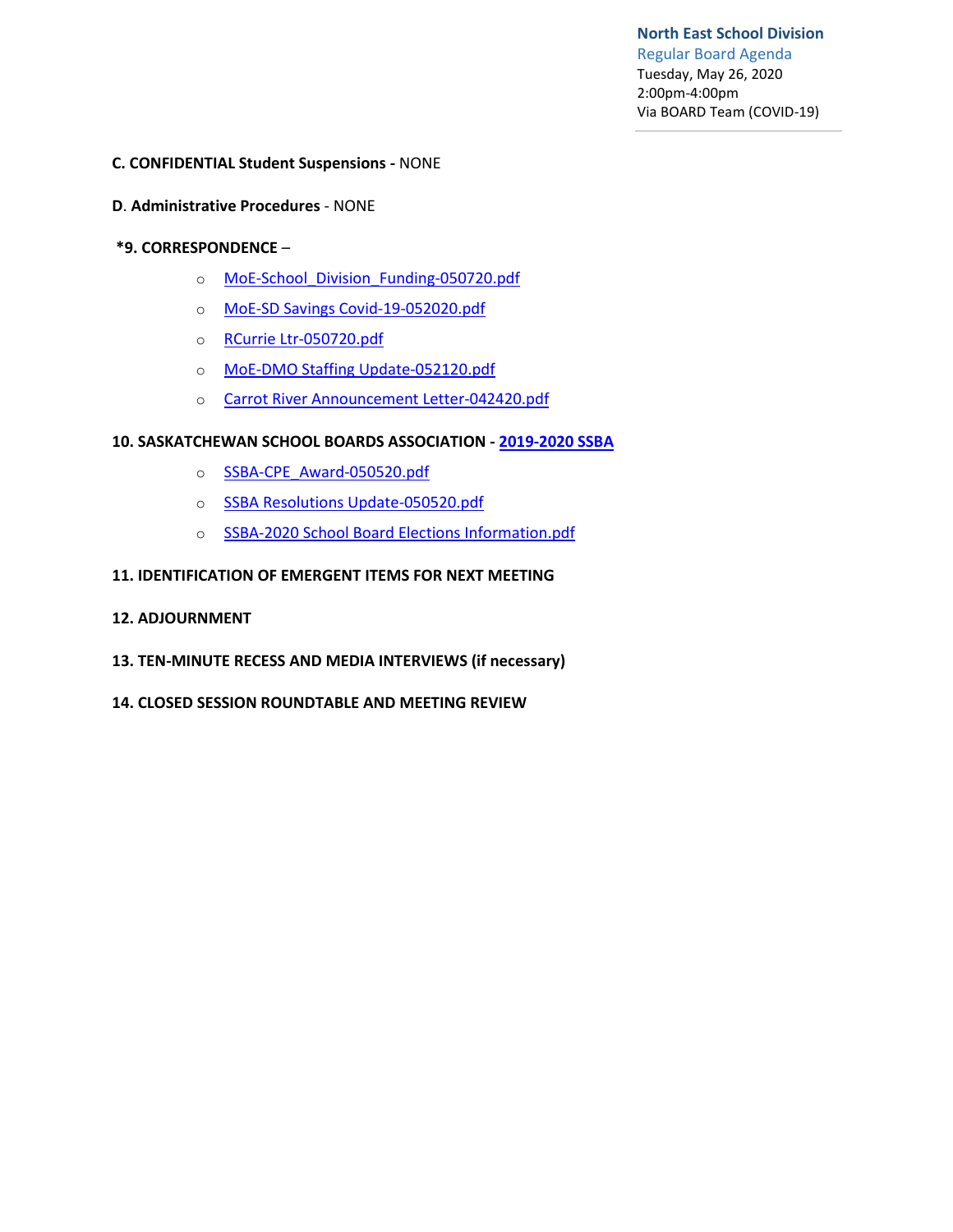**North East School Division** Regular Board Agenda Tuesday, May 26, 2020 2:00pm-4:00pm Via BOARD Team (COVID-19)

#### **C. CONFIDENTIAL Student Suspensions -** NONE

#### **D**. **Administrative Procedures** - NONE

#### **\*9. CORRESPONDENCE** –

- o MoE-School\_Division\_Funding-050720.pdf
- o MoE-SD Savings Covid-19-052020.pdf
- o RCurrie Ltr-050720.pdf
- o MoE-DMO Staffing Update-052120.pdf
- o Carrot River Announcement Letter-042420.pdf

#### **10. SASKATCHEWAN SCHOOL BOARDS ASSOCIATION - 2019-2020 SSBA**

- o SSBA-CPE\_Award-050520.pdf
- o SSBA Resolutions Update-050520.pdf
- o SSBA-2020 School Board Elections Information.pdf

#### **11. IDENTIFICATION OF EMERGENT ITEMS FOR NEXT MEETING**

- **12. ADJOURNMENT**
- **13. TEN-MINUTE RECESS AND MEDIA INTERVIEWS (if necessary)**
- **14. CLOSED SESSION ROUNDTABLE AND MEETING REVIEW**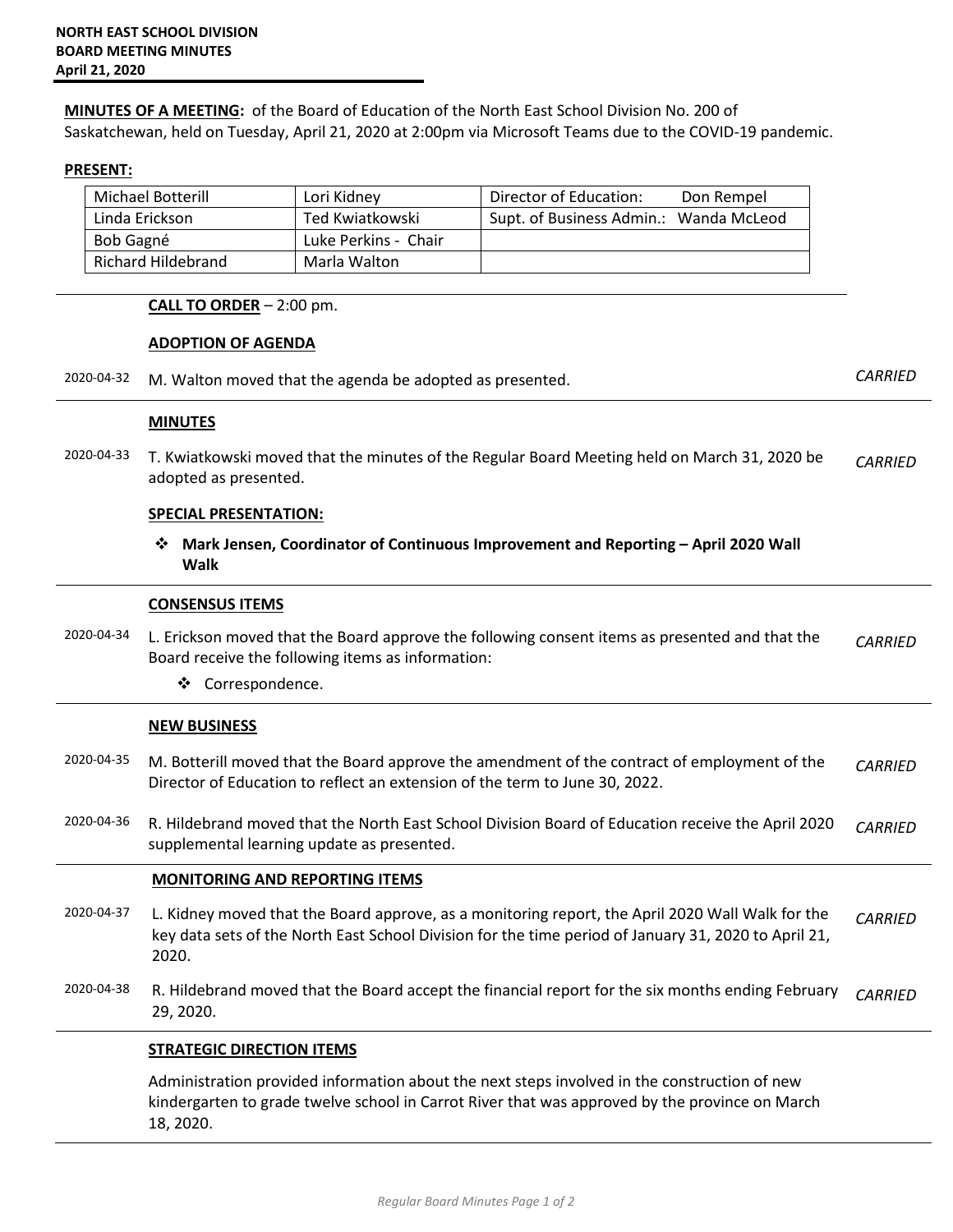**MINUTES OF A MEETING:** of the Board of Education of the North East School Division No. 200 of Saskatchewan, held on Tuesday, April 21, 2020 at 2:00pm via Microsoft Teams due to the COVID-19 pandemic.

#### **PRESENT:**

| <b>Michael Botterill</b> | Lori Kidnev          | Director of Education:                 | Don Rempel |
|--------------------------|----------------------|----------------------------------------|------------|
| Linda Erickson           | Ted Kwiatkowski      | Supt. of Business Admin.: Wanda McLeod |            |
| <b>Bob Gagné</b>         | Luke Perkins - Chair |                                        |            |
| Richard Hildebrand       | Marla Walton         |                                        |            |

#### **CALL TO ORDER** – 2:00 pm.

#### **ADOPTION OF AGENDA**

2020-04-32 M. Walton moved that the agenda be adopted as presented. *CARRIED*

#### **MINUTES**

2020-04-33 T. Kwiatkowski moved that the minutes of the Regular Board Meeting held on March 31, 2020 be adopted as presented. *CARRIED* 

#### **SPECIAL PRESENTATION:**

 **Mark Jensen, Coordinator of Continuous Improvement and Reporting – April 2020 Wall Walk**

#### **CONSENSUS ITEMS**

2020-04-34 L. Erickson moved that the Board approve the following consent items as presented and that the Board receive the following items as information: *CARRIED* 

Correspondence.

#### **NEW BUSINESS**

- 2020-04-35 M. Botterill moved that the Board approve the amendment of the contract of employment of the Director of Education to reflect an extension of the term to June 30, 2022. *CARRIED*
- 2020-04-36 R. Hildebrand moved that the North East School Division Board of Education receive the April 2020 supplemental learning update as presented. *CARRIED*

#### **MONITORING AND REPORTING ITEMS**

- 2020-04-37 L. Kidney moved that the Board approve, as a monitoring report, the April 2020 Wall Walk for the key data sets of the North East School Division for the time period of January 31, 2020 to April 21, 2020. *CARRIED*
- 2020-04-38 R. Hildebrand moved that the Board accept the financial report for the six months ending February 29, 2020. *CARRIED*

#### **STRATEGIC DIRECTION ITEMS**

Administration provided information about the next steps involved in the construction of new kindergarten to grade twelve school in Carrot River that was approved by the province on March 18, 2020.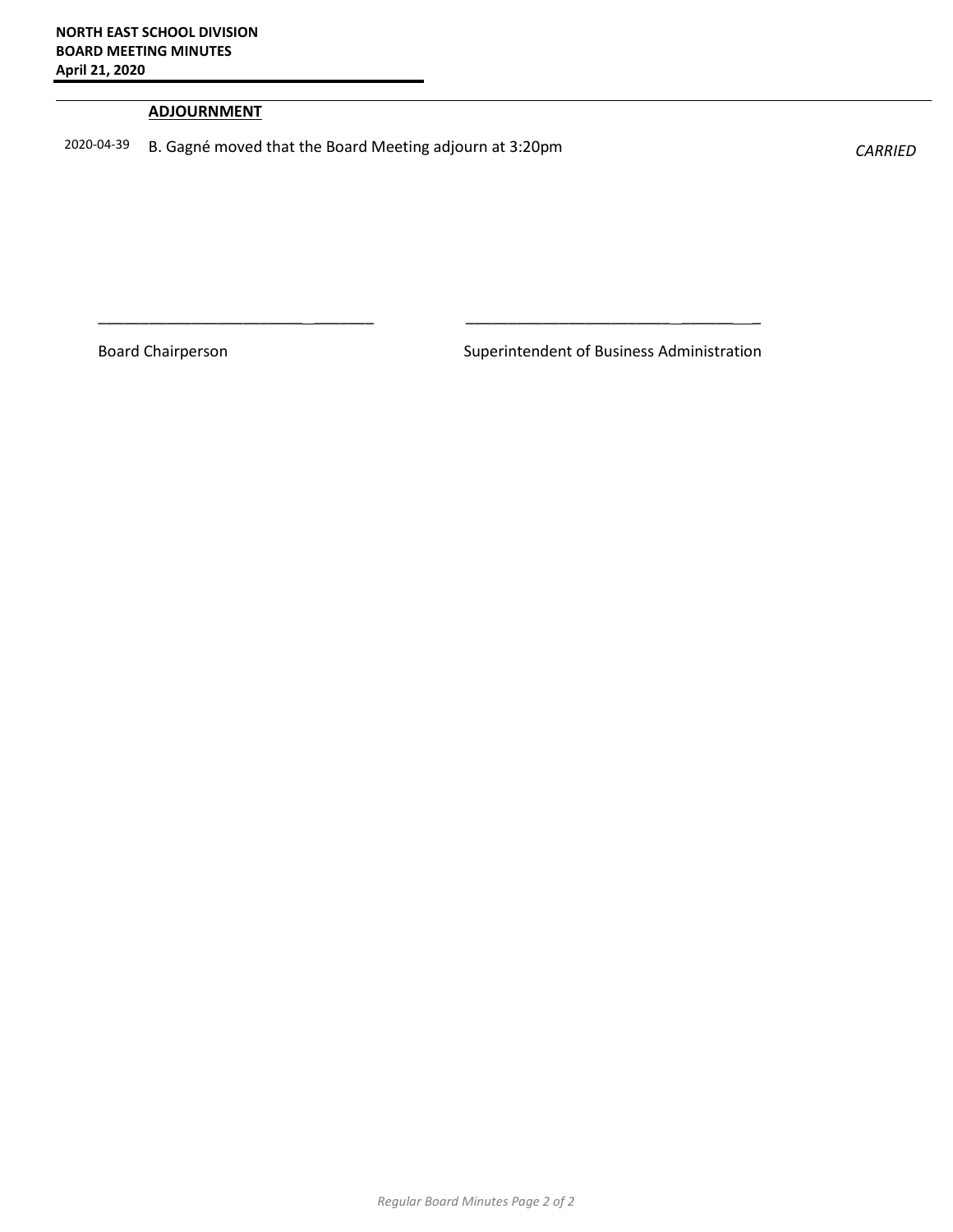#### **ADJOURNMENT**

2020-04-39 B. Gagné moved that the Board Meeting adjourn at 3:20pm *CARRIED* 

\_\_\_\_\_\_\_\_\_\_\_\_\_\_\_\_\_\_\_\_\_\_\_\_ \_\_\_\_\_\_\_ \_\_\_\_\_\_\_\_\_\_\_\_\_\_\_\_\_\_\_\_\_\_\_\_ \_\_\_\_\_\_ \_

Board Chairperson **Superintendent of Business Administration**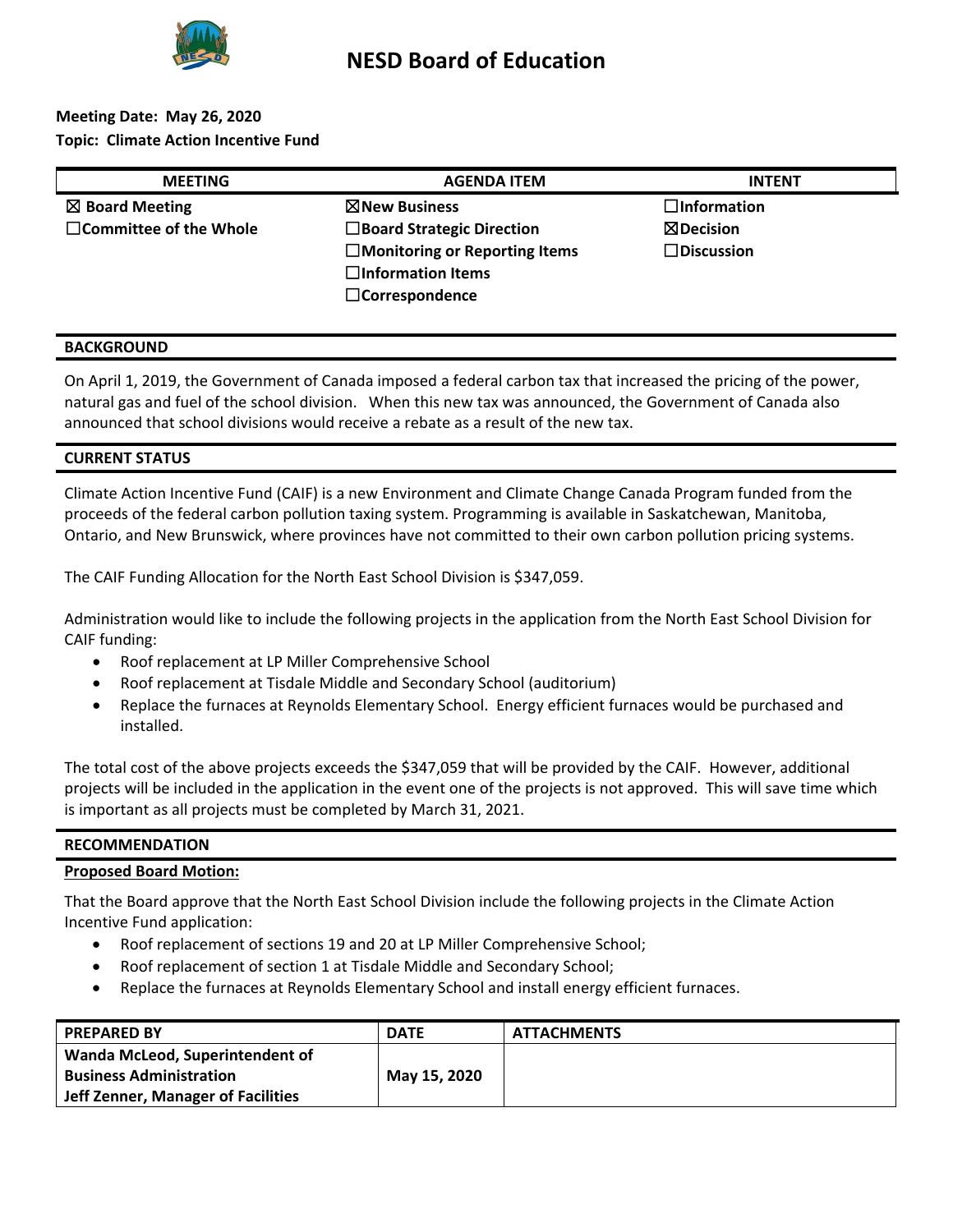

## **NESD Board of Education**

## **Meeting Date: May 26, 2020 Topic: Climate Action Incentive Fund**

| <b>MEETING</b>                | <b>AGENDA ITEM</b>                   | <b>INTENT</b>        |
|-------------------------------|--------------------------------------|----------------------|
| $\boxtimes$ Board Meeting     | $\boxtimes$ New Business             | $\Box$ Information   |
| $\Box$ Committee of the Whole | $\Box$ Board Strategic Direction     | $\boxtimes$ Decision |
|                               | $\Box$ Monitoring or Reporting Items | $\square$ Discussion |
|                               | $\Box$ Information Items             |                      |
|                               | $\Box$ Correspondence                |                      |

#### **BACKGROUND**

On April 1, 2019, the Government of Canada imposed a federal carbon tax that increased the pricing of the power, natural gas and fuel of the school division. When this new tax was announced, the Government of Canada also announced that school divisions would receive a rebate as a result of the new tax.

#### **CURRENT STATUS**

Climate Action Incentive Fund (CAIF) is a new Environment and Climate Change Canada Program funded from the proceeds of the federal carbon pollution taxing system. Programming is available in Saskatchewan, Manitoba, Ontario, and New Brunswick, where provinces have not committed to their own carbon pollution pricing systems.

The CAIF Funding Allocation for the North East School Division is \$347,059.

Administration would like to include the following projects in the application from the North East School Division for CAIF funding:

- Roof replacement at LP Miller Comprehensive School
- Roof replacement at Tisdale Middle and Secondary School (auditorium)
- Replace the furnaces at Reynolds Elementary School. Energy efficient furnaces would be purchased and installed.

The total cost of the above projects exceeds the \$347,059 that will be provided by the CAIF. However, additional projects will be included in the application in the event one of the projects is not approved. This will save time which is important as all projects must be completed by March 31, 2021.

#### **RECOMMENDATION**

## **Proposed Board Motion:**

That the Board approve that the North East School Division include the following projects in the Climate Action Incentive Fund application:

- Roof replacement of sections 19 and 20 at LP Miller Comprehensive School;
- Roof replacement of section 1 at Tisdale Middle and Secondary School;
- Replace the furnaces at Reynolds Elementary School and install energy efficient furnaces.

| <b>PREPARED BY</b>                 | <b>DATE</b>  | <b>ATTACHMENTS</b> |
|------------------------------------|--------------|--------------------|
| Wanda McLeod, Superintendent of    |              |                    |
| <b>Business Administration</b>     | May 15, 2020 |                    |
| Jeff Zenner, Manager of Facilities |              |                    |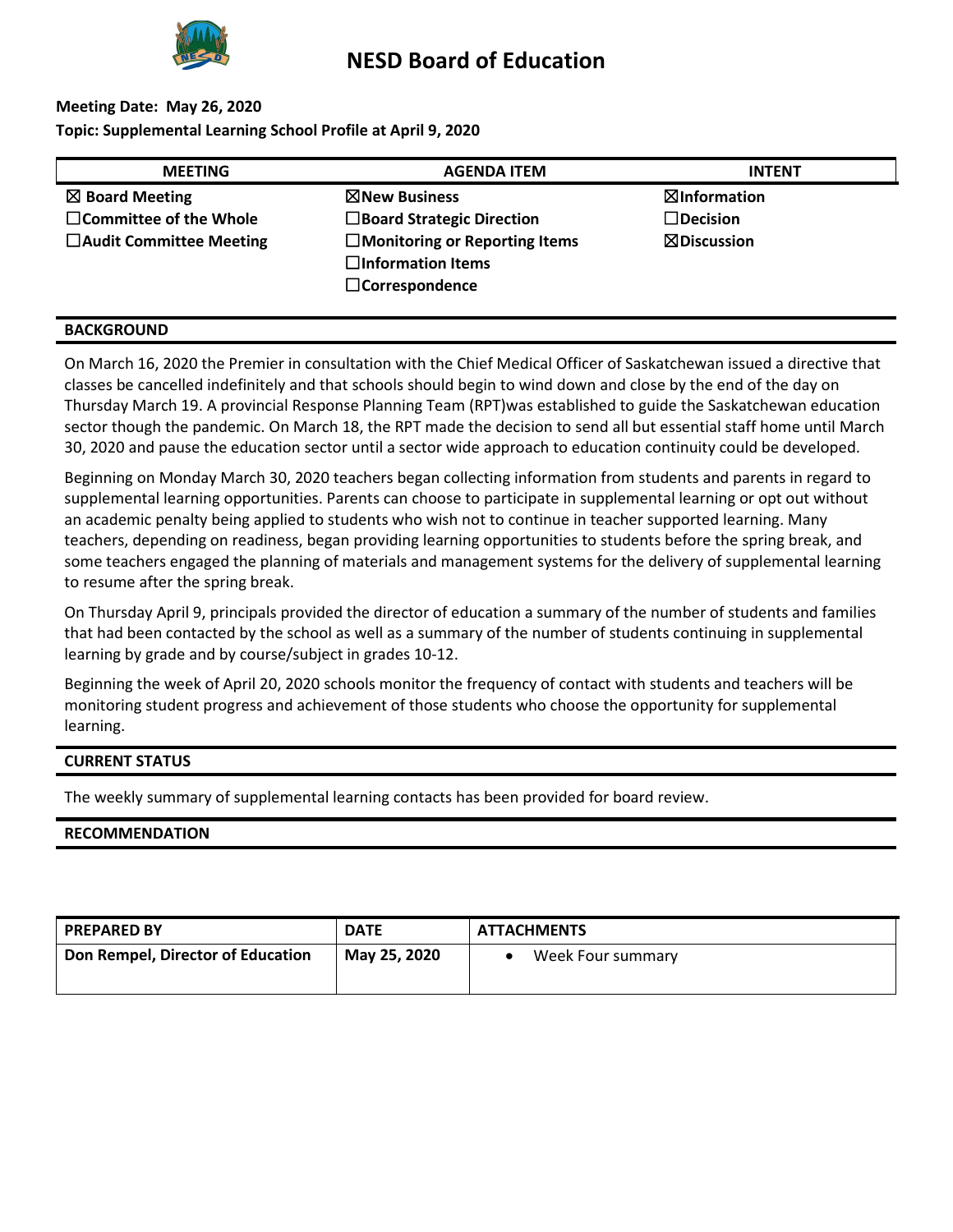

# **Meeting Date: May 26, 2020**

**Topic: Supplemental Learning School Profile at April 9, 2020**

| <b>MEETING</b>                 | <b>AGENDA ITEM</b>                                                                           | <b>INTENT</b>          |
|--------------------------------|----------------------------------------------------------------------------------------------|------------------------|
| $\boxtimes$ Board Meeting      | ⊠New Business                                                                                | ⊠Information           |
| $\Box$ Committee of the Whole  | $\Box$ Board Strategic Direction                                                             | $\Box$ Decision        |
| $\Box$ Audit Committee Meeting | $\square$ Monitoring or Reporting Items<br>$\Box$ Information Items<br>$\Box$ Correspondence | $\boxtimes$ Discussion |

#### **BACKGROUND**

On March 16, 2020 the Premier in consultation with the Chief Medical Officer of Saskatchewan issued a directive that classes be cancelled indefinitely and that schools should begin to wind down and close by the end of the day on Thursday March 19. A provincial Response Planning Team (RPT)was established to guide the Saskatchewan education sector though the pandemic. On March 18, the RPT made the decision to send all but essential staff home until March 30, 2020 and pause the education sector until a sector wide approach to education continuity could be developed.

Beginning on Monday March 30, 2020 teachers began collecting information from students and parents in regard to supplemental learning opportunities. Parents can choose to participate in supplemental learning or opt out without an academic penalty being applied to students who wish not to continue in teacher supported learning. Many teachers, depending on readiness, began providing learning opportunities to students before the spring break, and some teachers engaged the planning of materials and management systems for the delivery of supplemental learning to resume after the spring break.

On Thursday April 9, principals provided the director of education a summary of the number of students and families that had been contacted by the school as well as a summary of the number of students continuing in supplemental learning by grade and by course/subject in grades 10-12.

Beginning the week of April 20, 2020 schools monitor the frequency of contact with students and teachers will be monitoring student progress and achievement of those students who choose the opportunity for supplemental learning.

#### **CURRENT STATUS**

The weekly summary of supplemental learning contacts has been provided for board review.

#### **RECOMMENDATION**

| <b>PREPARED BY</b>                | <b>DATE</b>  | <b>ATTACHMENTS</b> |
|-----------------------------------|--------------|--------------------|
| Don Rempel, Director of Education | May 25, 2020 | Week Four summary  |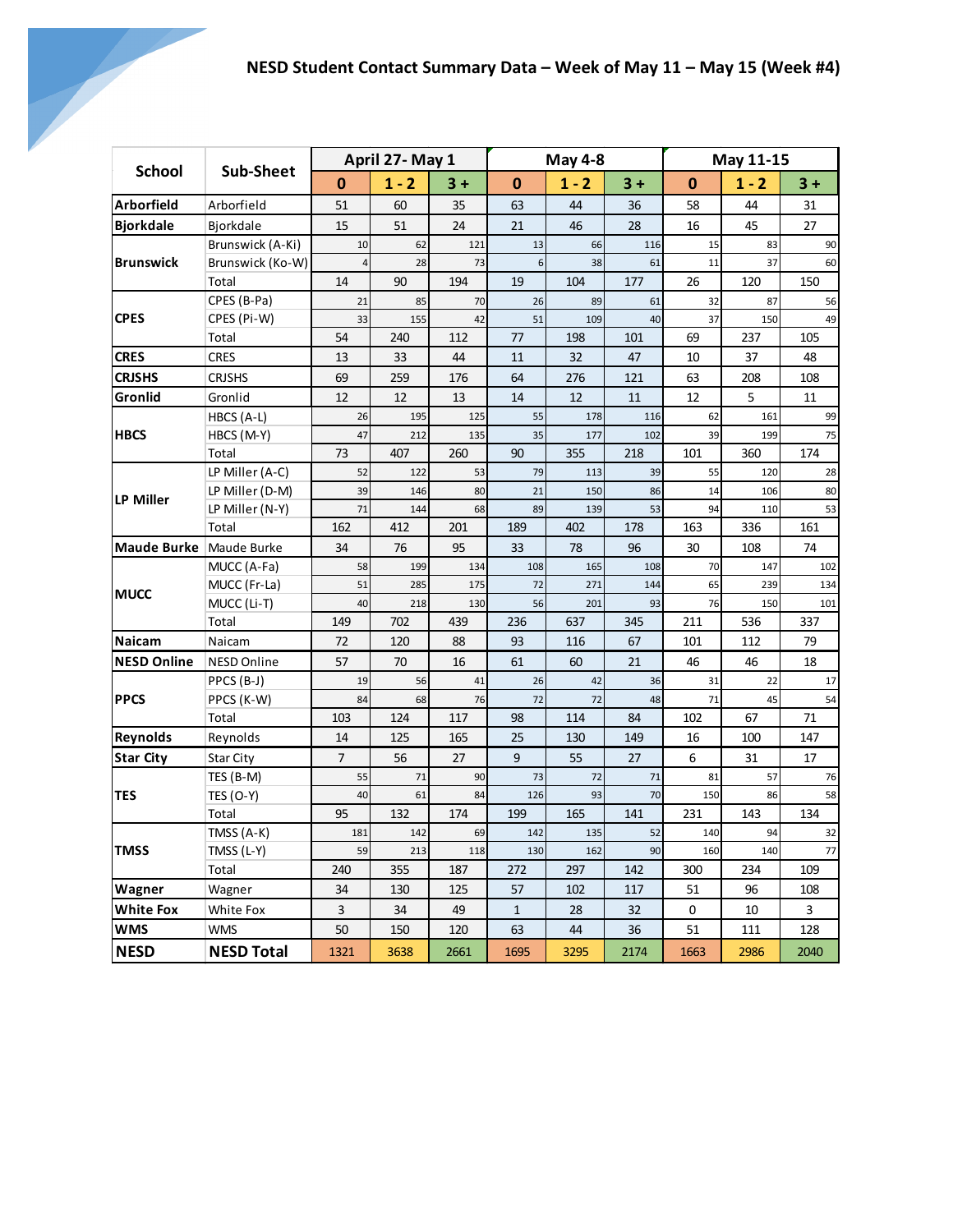| <b>School</b>              |                         |                | April 27- May 1 |            | <b>May 4-8</b> |            |           |            | May 11-15  |           |
|----------------------------|-------------------------|----------------|-----------------|------------|----------------|------------|-----------|------------|------------|-----------|
|                            | Sub-Sheet               | $\mathbf{0}$   | $1 - 2$         | $3 +$      | $\bf{0}$       | $1 - 2$    | $3 +$     | $\bf{0}$   | $1 - 2$    | $3 +$     |
| <b>Arborfield</b>          | Arborfield              | 51             | 60              | 35         | 63             | 44         | 36        | 58         | 44         | 31        |
| <b>Bjorkdale</b>           | <b>Biorkdale</b>        | 15             | 51              | 24         | 21             | 46         | 28        | 16         | 45         | 27        |
|                            | Brunswick (A-Ki)        | 10             | 62              | 121        | 13             | 66         | 116       | 15         | 83         | 90        |
| <b>Brunswick</b>           | Brunswick (Ko-W)        | $\overline{4}$ | 28              | 73         | 6 <sup>1</sup> | 38         | 61        | 11         | 37         | 60        |
|                            | Total                   | 14             | 90              | 194        | 19             | 104        | 177       | 26         | 120        | 150       |
|                            | CPES (B-Pa)             | 21             | 85              | 70         | 26             | 89         | 61        | 32         | 87         | 56        |
| <b>CPES</b>                | CPES (Pi-W)             | 33             | 155             | 42         | 51             | 109        | 40        | 37         | 150        | 49        |
|                            | Total                   | 54             | 240             | 112        | 77             | 198        | 101       | 69         | 237        | 105       |
| <b>CRES</b>                | <b>CRES</b>             | 13             | 33              | 44         | 11             | 32         | 47        | 10         | 37         | 48        |
| <b>CRJSHS</b>              | <b>CRJSHS</b>           | 69             | 259             | 176        | 64             | 276        | 121       | 63         | 208        | 108       |
| Gronlid                    | Gronlid                 | 12             | 12              | 13         | 14             | 12         | 11        | 12         | 5          | 11        |
|                            | HBCS (A-L)              | 26             | 195             | 125        | 55             | 178        | 116       | 62         | 161        | 99        |
| <b>HBCS</b>                | HBCS (M-Y)              | 47             | 212             | 135        | 35             | 177        | 102       | 39         | 199        | 75        |
|                            | Total                   | 73             | 407             | 260        | 90             | 355        | 218       | 101        | 360        | 174       |
|                            | LP Miller (A-C)         | 52             | 122             | 53         | 79             | 113        | 39        | 55         | 120        | 28        |
| <b>LP Miller</b>           | LP Miller (D-M)         | 39             | 146             | 80         | 21             | 150        | 86        | 14         | 106        | 80        |
|                            | LP Miller (N-Y)         | 71             | 144             | 68         | 89             | 139        | 53        | 94         | 110        | 53        |
|                            | Total                   | 162            | 412             | 201        | 189            | 402        | 178       | 163        | 336        | 161       |
| Maude Burke Maude Burke    |                         | 34             | 76              | 95         | 33             | 78         | 96        | 30<br>108  |            | 74        |
|                            | MUCC (A-Fa)             | 58             | 199             | 134        | 108            | 165        | 108       | 70         | 147        | 102       |
| <b>MUCC</b>                | MUCC (Fr-La)            | 51             | 285             | 175        | 72             | 271        | 144       | 65         | 239        | 134       |
|                            | MUCC (Li-T)             | 40             | 218             | 130        | 56             | 201        | 93        | 76         | 150        | 101       |
|                            | Total                   | 149            | 702             | 439        | 236            | 637        | 345       | 211        | 536        | 337       |
| <b>Naicam</b>              | Naicam                  | 72             | 120             | 88         | 93             | 116        | 67        | 101        | 112        | 79        |
| <b>NESD Online</b>         | <b>NESD Online</b>      | 57             | 70              | 16         | 61             | 60         | 21        | 46         | 46         | 18        |
|                            | PPCS (B-J)              | 19             | 56              | 41         | 26             | 42         | 36        | 31         | 22         | 17        |
| <b>PPCS</b>                | PPCS (K-W)              | 84             | 68              | 76         | 72             | 72         | 48        | 71         | 45         | 54        |
|                            | Total                   | 103            | 124             | 117        | 98             | 114        | 84        | 102        | 67         | 71        |
| Reynolds                   | Reynolds                | 14             | 125             | 165        | 25             | 130        | 149       | 16         | 100        | 147       |
| <b>Star City</b>           | <b>Star City</b>        | $\overline{7}$ | 56              | 27         | $\mathsf{q}$   | 55         | 27        | 6          | 31         | 17        |
|                            | TES (B-M)               | 55             | 71              | 90         | 73             | 72         | 71        | 81         | 57         | 76        |
| <b>TES</b>                 | <b>TES (O-Y)</b>        | 40             | 61              | 84         | 126            | 93         | 70        | 150        | 86         | 58        |
|                            | Total                   | 95<br>181      | 132<br>142      | 174<br>69  | 199            | 165        | 141<br>52 | 231<br>140 | 143<br>94  | 134       |
|                            | TMSS (A-K)              | 59             |                 |            | 142<br>130     | 135        | 90        |            |            | 32        |
| <b>TMSS</b>                | TMSS (L-Y)<br>Total     | 240            | 213<br>355      | 118<br>187 | 272            | 162<br>297 | 142       | 160<br>300 | 140<br>234 | 77<br>109 |
|                            |                         | 34             | 130             | 125        | 57             | 102        | 117       | 51         | 96         | 108       |
| Wagner<br><b>White Fox</b> | Wagner                  | 3              | 34              | 49         | $\mathbf 1$    |            |           |            |            | 3         |
| <b>WMS</b>                 | White Fox<br><b>WMS</b> | 50             |                 |            |                | 28         | 32        | 0          | 10         | 128       |
|                            |                         |                | 150             | 120        | 63             | 44         | 36        | 51         | 111        |           |
| <b>NESD</b>                | <b>NESD Total</b>       | 1321           | 3638            | 2661       | 1695           | 3295       | 2174      | 1663       | 2986       | 2040      |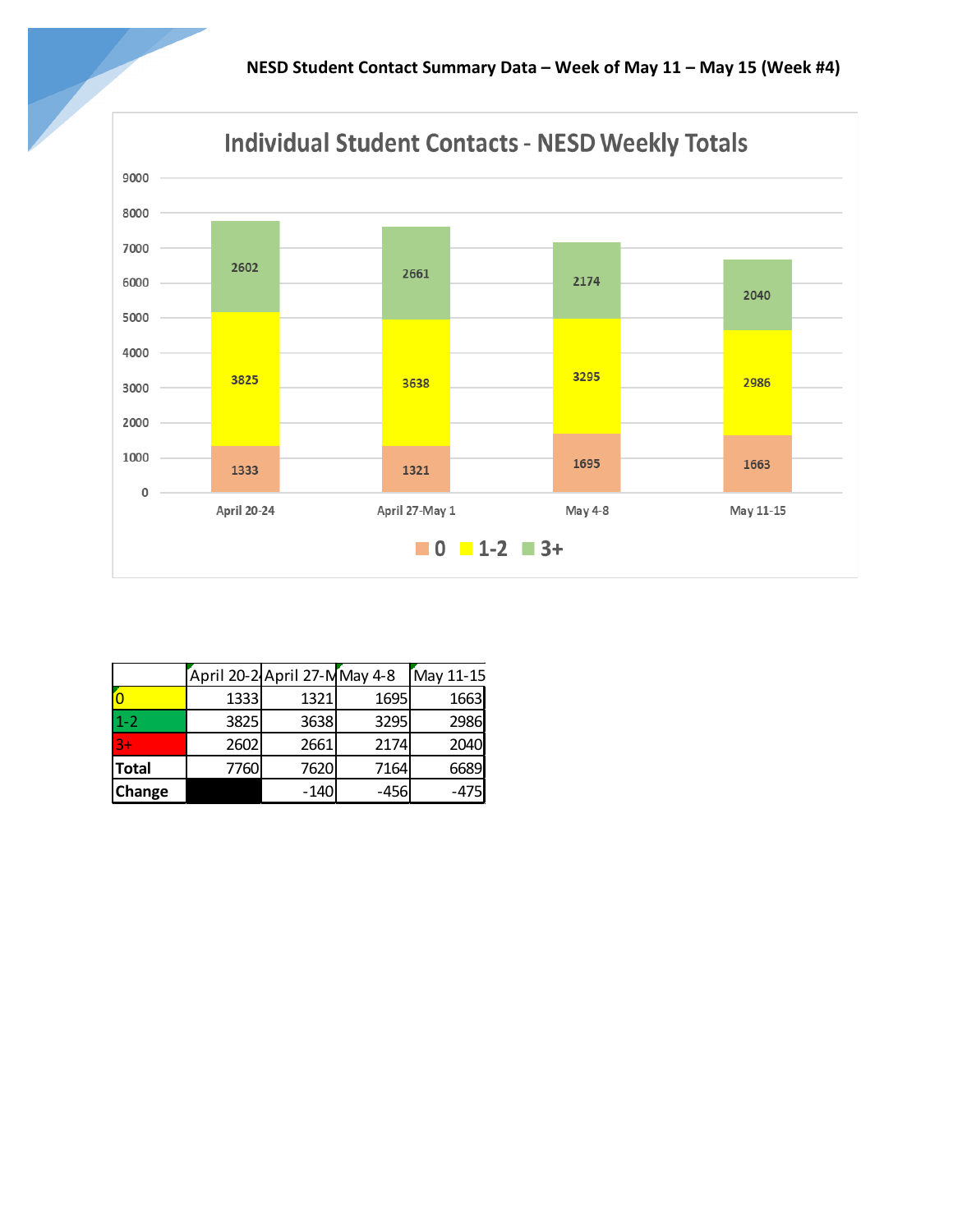

|              | April 20-2 April 27-MMay 4-8 |        |        | May 11-15 |
|--------------|------------------------------|--------|--------|-----------|
|              | 1333                         | 1321   | 1695   | 1663      |
| $1 - 2$      | 3825                         | 3638   | 3295   | 2986      |
| $3+$         | 2602                         | 2661   | 2174   | 2040      |
| <b>Total</b> | 7760                         | 7620   | 7164   | 6689      |
| Change       |                              | $-140$ | $-456$ | $-475$    |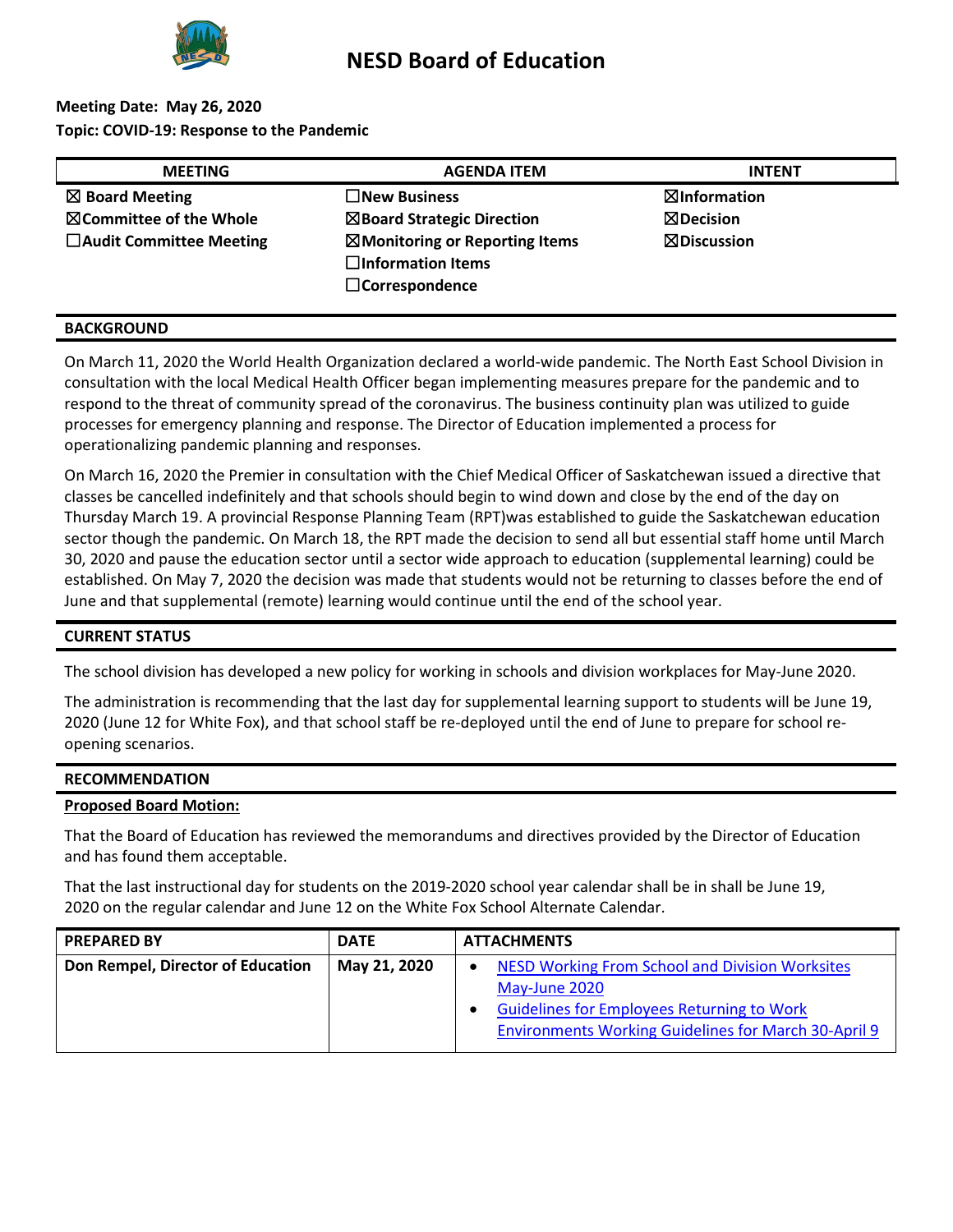

## **Meeting Date: May 26, 2020 Topic: COVID-19: Response to the Pandemic**

| <b>MEETING</b>                     | <b>AGENDA ITEM</b>                        | <b>INTENT</b>          |
|------------------------------------|-------------------------------------------|------------------------|
| $\boxtimes$ Board Meeting          | $\square$ New Business                    | ⊠Information           |
| $\boxtimes$ Committee of the Whole | $\boxtimes$ Board Strategic Direction     | $\boxtimes$ Decision   |
| $\Box$ Audit Committee Meeting     | $\boxtimes$ Monitoring or Reporting Items | $\boxtimes$ Discussion |
|                                    | $\Box$ Information Items                  |                        |
|                                    | $\Box$ Correspondence                     |                        |
|                                    |                                           |                        |

#### **BACKGROUND**

On March 11, 2020 the World Health Organization declared a world-wide pandemic. The North East School Division in consultation with the local Medical Health Officer began implementing measures prepare for the pandemic and to respond to the threat of community spread of the coronavirus. The business continuity plan was utilized to guide processes for emergency planning and response. The Director of Education implemented a process for operationalizing pandemic planning and responses.

On March 16, 2020 the Premier in consultation with the Chief Medical Officer of Saskatchewan issued a directive that classes be cancelled indefinitely and that schools should begin to wind down and close by the end of the day on Thursday March 19. A provincial Response Planning Team (RPT)was established to guide the Saskatchewan education sector though the pandemic. On March 18, the RPT made the decision to send all but essential staff home until March 30, 2020 and pause the education sector until a sector wide approach to education (supplemental learning) could be established. On May 7, 2020 the decision was made that students would not be returning to classes before the end of June and that supplemental (remote) learning would continue until the end of the school year.

#### **CURRENT STATUS**

The school division has developed a new policy for working in schools and division workplaces for May-June 2020.

The administration is recommending that the last day for supplemental learning support to students will be June 19, 2020 (June 12 for White Fox), and that school staff be re-deployed until the end of June to prepare for school reopening scenarios.

#### **RECOMMENDATION**

#### **Proposed Board Motion:**

That the Board of Education has reviewed the memorandums and directives provided by the Director of Education and has found them acceptable.

That the last instructional day for students on the 2019-2020 school year calendar shall be in shall be June 19, 2020 on the regular calendar and June 12 on the White Fox School Alternate Calendar.

| <b>PREPARED BY</b>                | <b>DATE</b>  | <b>ATTACHMENTS</b>                                                                                                                                                                          |
|-----------------------------------|--------------|---------------------------------------------------------------------------------------------------------------------------------------------------------------------------------------------|
| Don Rempel, Director of Education | May 21, 2020 | <b>NESD Working From School and Division Worksites</b><br>May-June 2020<br><b>Guidelines for Employees Returning to Work</b><br><b>Environments Working Guidelines for March 30-April 9</b> |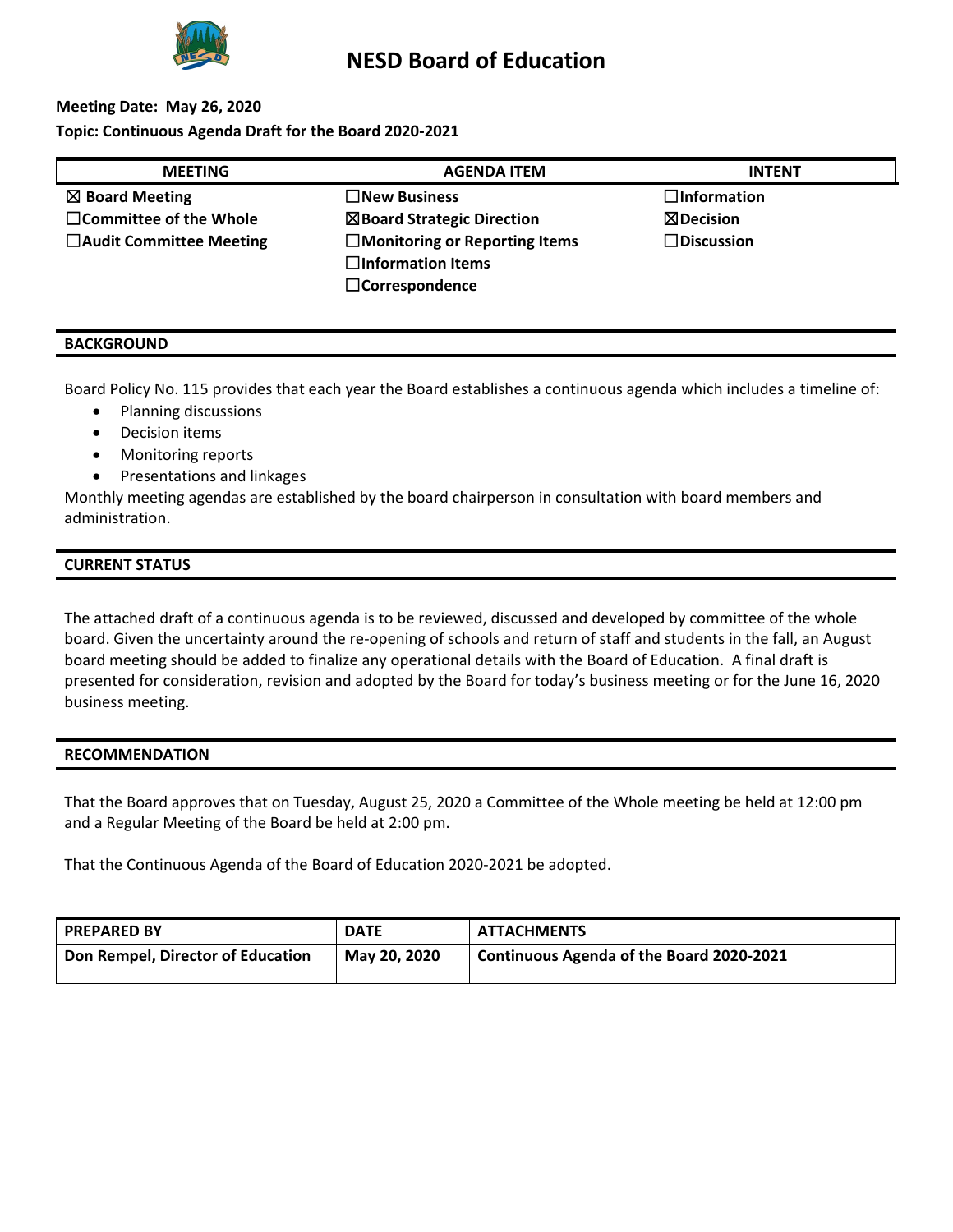

## **Meeting Date: May 26, 2020 Topic: Continuous Agenda Draft for the Board 2020-2021**

| <b>MEETING</b>                 | <b>AGENDA ITEM</b>                    | <b>INTENT</b>        |
|--------------------------------|---------------------------------------|----------------------|
| $\boxtimes$ Board Meeting      | $\Box$ New Business                   | $\Box$ Information   |
| $\Box$ Committee of the Whole  | $\boxtimes$ Board Strategic Direction | $\boxtimes$ Decision |
| $\Box$ Audit Committee Meeting | $\Box$ Monitoring or Reporting Items  | $\Box$ Discussion    |
|                                | $\Box$ Information Items              |                      |
|                                | $\Box$ Correspondence                 |                      |

#### **BACKGROUND**

Board Policy No. 115 provides that each year the Board establishes a continuous agenda which includes a timeline of:

- Planning discussions
- Decision items
- Monitoring reports
- Presentations and linkages

Monthly meeting agendas are established by the board chairperson in consultation with board members and administration.

## **CURRENT STATUS**

The attached draft of a continuous agenda is to be reviewed, discussed and developed by committee of the whole board. Given the uncertainty around the re-opening of schools and return of staff and students in the fall, an August board meeting should be added to finalize any operational details with the Board of Education. A final draft is presented for consideration, revision and adopted by the Board for today's business meeting or for the June 16, 2020 business meeting.

#### **RECOMMENDATION**

That the Board approves that on Tuesday, August 25, 2020 a Committee of the Whole meeting be held at 12:00 pm and a Regular Meeting of the Board be held at 2:00 pm.

That the Continuous Agenda of the Board of Education 2020-2021 be adopted.

| <b>PREPARED BY</b>                | <b>DATE</b>  | <b>ATTACHMENTS</b>                       |
|-----------------------------------|--------------|------------------------------------------|
| Don Rempel, Director of Education | May 20, 2020 | Continuous Agenda of the Board 2020-2021 |